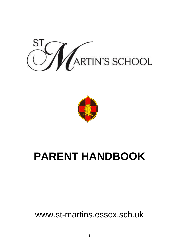



# **PARENT HANDBOOK**

www.st-martins.essex.sch.uk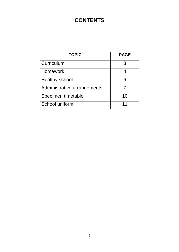## **CONTENTS**

| <b>TOPIC</b>                | <b>PAGE</b> |  |  |
|-----------------------------|-------------|--|--|
| Curriculum                  | 3           |  |  |
| Homework                    |             |  |  |
| <b>Healthy school</b>       | 6           |  |  |
| Administrative arrangements |             |  |  |
| Specimen timetable          | 10          |  |  |
| School uniform              | 11          |  |  |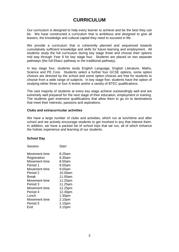## **CURRICULUM**

Our curriculum is designed to help every learner to achieve and be the best they can be. We have constructed a curriculum that is ambitious and designed to give all leavers, the knowledge and cultural capital they need to succeed in life.

We provide a curriculum that is coherently planned and sequenced towards cumulatively sufficient knowledge and skills for future learning and employment. All students study the full curriculum during key stage three and choose their options mid way through Year 9 for key stage four. Students are placed on two separate pathways (the full Ebacc pathway or the traditional pathway).

In key stage four, students study English Language, English Literature, Maths, Science and PE Core. Students select a further four GCSE options, some option choices are directed by the school and some option choices are free for students to choose from a wide range of subjects. In key stage five, students have the option of studying either three or four A levels and/or a variety of BTEC qualifications.

The vast majority of students at every key stage achieve outstandingly well and are extremely well prepared for the next stage of their education, employment or training. The students gain extensive qualifications that allow them to go on to destinations that meet their interests, passions and aspirations.

#### **Clubs and extracurricular activities**

We have a large number of clubs and activities, which run at lunchtime and after school and we actively encourage students to get involved in any that interest them. In addition, we have a packed list of school trips that we run, all of which enhance the holistic experience and learning of our students.

#### **School Day**

| Session             | Start   |
|---------------------|---------|
| Movement time       | 8.25am  |
| Registration        | 8.30am  |
| Movement time       | 8.50am  |
| Period 1            | 8.55am  |
| Movement time       | 9.55am  |
| Period <sub>2</sub> | 10.00am |
| Break               | 11.00am |
| Movement time       | 11.20am |
| Period 3            | 11.25am |
| Movement time       | 12.25pm |
| Period 4            | 12.30pm |
| Lunch               | 1.30pm  |
| Movement time       | 2.10pm  |
| Period 5            | 2.15pm  |
| End                 | 3.15pm  |
|                     |         |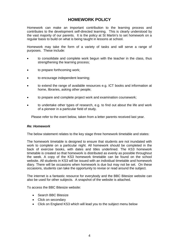## **HOMEWORK POLICY**

Homework can make an important contribution to the learning process and contributes to the development self-directed learning. This is clearly understood by the vast majority of our parents. It is the policy at St Martin's to set homework on a regular basis to build on what is being taught in lessons at school.

Homework may take the form of a variety of tasks and will serve a range of purposes. These include:

- to consolidate and complete work begun with the teacher in the class, thus strengthening the learning process;
- to prepare forthcoming work;
- to encourage independent learning;
- to extend the range of available resources e.g. ICT books and information at home, libraries, asking other people;
- to prepare and complete project work and examination coursework;
- to undertake other types of research, e.g. to find out about the life and work of a pioneer in a particular field of study.

Please refer to the exert below, taken from a letter parents received last year.

#### *Re: Homework*

The below statement relates to the key stage three homework timetable and states:

The homework timetable is designed to ensure that students are not inundated with work to complete on a particular night. All homework should be completed in the back of exercise books, with dates and titles underlined. The KS3 homework timetable is created so that homework is distributed as evenly as possible throughout the week. A copy of the KS3 homework timetable can be found on the school website. All students in KS3 will be issued with an individual timetable and homework diary. There will be occasions when homework is due but may not be set. On these occasions, students can take the opportunity to revise or read around the subject.

The internet is a fantastic resource for everybody and the BBC Bitesize website can also be used for other subjects. A snapshot of the website is attached.

To access the BBC Bitesize website:

- Search BBC Bitesize
- Click on secondary
- Click on England KS3 which will lead you to the subject menu below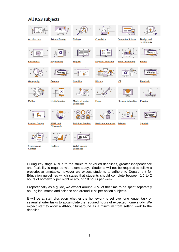## **All KS3 subjects**



During key stage 4, due to the structure of varied deadlines, greater independence and flexibility is required with exam study. Students will not be required to follow a prescriptive timetable, however we expect students to adhere to Department for Education guidelines which states that students should complete between 1.5 to 2 hours of homework per night or around 10 hours per week:

Proportionally as a guide, we expect around 20% of this time to be spent separately on English, maths and science and around 10% per option subjects.

It will be at staff discretion whether the homework is set over one longer task or several shorter tasks to accumulate the required hours of expected home study. We expect staff to allow a 48-hour turnaround as a minimum from setting work to the deadline.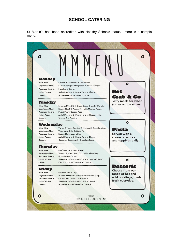#### **SCHOOL CATERING**

St Martin's has been accredited with Healthy Schools status. Here is a sample menu.

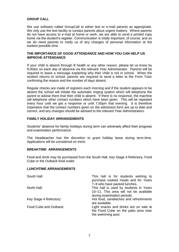#### **GROUP CALL**

We use software called GroupCall to either text or e-mail parents as appropriate. We only use the text facility to contact parents about urgent matters. Where parents do not have access to e-mail at home or work, we are able to send a printed copy home via the student's register. Communication is vitally important, of course, and so we do need parents to notify us of any changes of personal information at the earliest possible time.

#### **THE IMPORTANCE OF GOOD ATTENDANCE AND HOW YOU CAN HELP US IMPROVE ATTENDANCE**

If your child is absent through ill health or any other reason, please let us know by 9.00am on each day of absence via the relevant Year Administrator. Parents will be required to leave a message explaining why their child is not in school. When the student returns to school, parents are required to send a letter to the Form Tutor confirming the reason and the number of days absent.

Regular checks are made of registers each morning and if the student appears to be absent the school will initiate the automatic ringing system which will telephone the parent to advise them that their child is absent. If there is no response, the machine will telephone other contact numbers which have been given. This will be repeated every hour until we get a response or until 7.00pm that evening. It is therefore imperative that the contact numbers given on the admission form are up to date and correct, and any changes should be advised to the relevant Year Administrators.

#### **FAMILY HOLIDAY ARRANGEMENTS**

Students' absence for family holidays during term can adversely affect their progress and examination performance.

The Headteacher has the discretion to grant holiday leave during term-time. Applications will be considered on merit.

#### **BREAKTIME ARRANGEMENTS**

Food and drink may be purchased from the South Hall, Key Stage 4 Refectory, Food Cube or the Outback food outlet.

#### **LUNCHTIME ARRANGEMENTS**

| South Hall:            | This hall is for students wishing to<br>purchase cooked meals and for Years |  |  |  |
|------------------------|-----------------------------------------------------------------------------|--|--|--|
|                        | 7-9 who have packed lunches.                                                |  |  |  |
| North Hall:            | This hall is used by students in Years                                      |  |  |  |
|                        | 10-11. This area will not be available                                      |  |  |  |
|                        | during examination periods.                                                 |  |  |  |
| Key Stage 4 Refectory: | Hot food, sandwiches and refreshments                                       |  |  |  |
|                        | are available.                                                              |  |  |  |
| Food Cube and Outback: | Light snacks and drinks are on sale at                                      |  |  |  |
|                        | the Food Cube on the patio area near                                        |  |  |  |
|                        | the swimming pool.                                                          |  |  |  |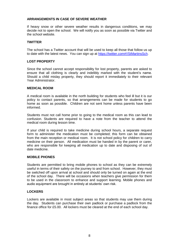#### **ARRANGEMENTS IN CASE OF SEVERE WEATHER**

If heavy snow or other severe weather results in dangerous conditions, we may decide not to open the school. We will notify you as soon as possible via Twitter and the school website.

#### **TWITTER**

The school has a Twitter account that will be used to keep all those that follow us up to date with the latest news. You can sign up at [https://twitter.com#!/StMartinsSch.](https://twitter.com/#!/StMartinsSch)

#### **LOST PROPERTY**

Since the school cannot accept responsibility for lost property, parents are asked to ensure that all clothing is clearly and indelibly marked with the student's name. Should a child mislay property, they should report it immediately to their relevant Year Administrator.

#### **MEDICAL ROOM**

A medical room is available in the north building for students who feel ill but it is our policy to contact parents, so that arrangements can be made for students to go home as soon as possible. Children are not sent home unless parents have been informed.

Students must not call home prior to going to the medical room as this can lead to confusion. Students are required to have a note from the teacher to attend the medical room during lesson time.

If your child is required to take medicine during school hours, a separate request form to administer the medication must be completed; this form can be obtained from the main reception or medical room. It is not school policy for children to carry medicine on their person. All medication must be handed in by the parent or carer, who are responsible for keeping all medication up to date and disposing of out of date medicine.

#### **MOBILE PHONES**

Students are permitted to bring mobile phones to school as they can be extremely useful in terms of their safety on the journey to and from school. However, they must be switched off upon arrival at school and should only be turned on again at the end of the school day. There will be occasions when teachers give permission for them to be used in the classroom to enhance and support learning. Mobile phones and audio equipment are brought in entirely at students' own risk.

#### **LOCKERS**

Lockers are available in most subject areas so that students may use them during the day. Students can purchase their own padlock or purchase a padlock from the finance office for £5.00. All lockers must be cleared at the end of each school day.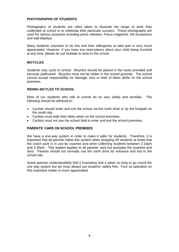#### **PHOTOGRAPHS OF STUDENTS**

Photographs of students are often taken to illustrate the range of work they undertake at school or to celebrate their particular success. These photographs are used for various purposes including press releases, Focus magazine, the prospectus and wall displays.

Many students volunteer to do this and their willingness to take part is very much appreciated. However, if you have any reservations about your child being involved at any time, please do not hesitate to write to the school.

#### **BICYCLES**

Students may cycle to school. Bicycles should be placed in the racks provided and securely padlocked. Bicycles must not be ridden in the school grounds. The school cannot accept responsibility for damage, loss or theft of bikes whilst on the school premises.

#### **RIDING BICYLES TO SCHOOL**

Most of our students who ride to school do so very safely and sensibly. The following should be adhered to:

- Cyclists should enter and exit the school via the north drive or by the footpath on the south site.
- Cyclists must walk their bikes when on the school premises.
- Cyclists must not use the school field to enter and exit the school premises.

#### **PARENTS' CARS ON SCHOOL PREMISES**

We have a one-way system in order to make it safer for students. Therefore, it is important that all parents follow this system when dropping off students at times that the coach park is in use by coaches and when collecting students between 3.15pm and 3.35pm. This system applies to all parents' cars but excludes the coaches and taxis. Parents should not normally use the north drive for entrance and exit to the school site.

Some parents understandably find it frustrating that it takes so long to go round the one way system but we must always put students' safety first. Your co-operation on this important matter is much appreciated.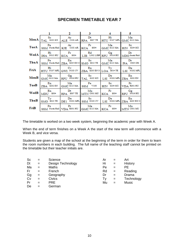### **SPECIMEN TIMETABLE YEAR 7**

|      |                                          |                                                                                  | 3         |                                                                  | 5                                                                           |  |
|------|------------------------------------------|----------------------------------------------------------------------------------|-----------|------------------------------------------------------------------|-----------------------------------------------------------------------------|--|
|      | Sc                                       | Ar<br>MonA TAL SIOS SCI ALE CIO4 AR RPA S007 TE HTU NIO7 MFL GMC SIIS MA         | Dt        | Нi                                                               | Ma                                                                          |  |
| TueA | Pe                                       | Ar<br>SSM North Hall KJE C103 AR KCA 8004                                        | $F_r$     | Ma<br>$\left  GMC \right $ S113 MA $\left  HIN \right $ S104 SCI | - Se                                                                        |  |
|      | Hi<br>$\text{WedA}$ IHA NO13 HU KCA 8004 | $F_r$                                                                            | Rd        | <b>Gg</b><br>LIB L002 LIBR RPU N016 HU MDO South Hall            | $\mathbf{D}\mathbf{r}$                                                      |  |
| ThuA | Pe                                       | En<br>SSM North Hall ZBA \$205 EN I(SMO \$013 TE GMC \$113 MA IDA C005 DR        | l Sc      | Ma                                                               | Dr                                                                          |  |
| FriA | Hi                                       | $Cv$ and $Cv$<br>HTU N107 MEL GWI N103 CV ZBA S205 EN I(LOA S014 TE LSI N202 MEL |           | En   Ty   De                                                     |                                                                             |  |
| MonB | Ma                                       | $G_g$<br>GMC SILBMA RPU NO16 HU TAL SI05 SCI LSI N202 MFL ZBA S202 EN            | l Sc      | De                                                               | En                                                                          |  |
| TueB |                                          | En I Ma<br>ZBA \$202 EN GMC \$113 MA SSM V108                                    |           | │ Pe │ Sc │ Pr<br>HJN \$104 SCI VDA R001 HU                      |                                                                             |  |
| WedB | $E_{n}$<br>MDU \$004                     | l Dt<br>$RPA$ S007 TE MTN C001 MU KCA S004                                       | Mu   Fr   |                                                                  | G <sub>g</sub><br>RPU N016 HU                                               |  |
| ThuB | Ty the Ty                                | l De                                                                             | l Sc l De |                                                                  | $E_{n}$<br>SMO SOLS TE DE1 N201 MFL SSM N103 CV LSI N202 MFL ZBA S205 EN IO |  |
| FriB | <b>Permitted</b>                         | Pr   Ma   Fr<br>SSM North Hall VDA R001 HU GMC S113 MA KCA S004                  |           |                                                                  | Mu.<br>MTN COOLMU                                                           |  |

The timetable is worked on a two week system, beginning the academic year with Week A.

When the end of term finishes on a Week A the start of the new term will commence with a Week B, and vice versa.

Students are given a map of the school at the beginning of the term in order for them to learn the room numbers in each building. The full name of the teaching staff cannot be printed on the timetable but their teacher initials are.

| <b>Sc</b> | $=$ | Science           | Ar |     | Art          |
|-----------|-----|-------------------|----|-----|--------------|
| Dt        | $=$ | Design Technology | Hi | $=$ | History      |
| Ma        |     | Maths             | Pe |     | PЕ           |
| Fr        | $=$ | French            | Rd | $=$ | Reading      |
| Gg        | $=$ | Geography         | Dr |     | Drama        |
| Cv        |     | <b>Civics</b>     | Tv | $=$ | Technology   |
| Pr        |     | <b>PRE</b>        | Mu | $=$ | <b>Music</b> |
| De        |     | German            |    |     |              |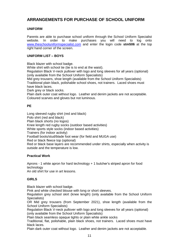## **ARRANGEMENTS FOR PURCHASE OF SCHOOL UNIFORM**

#### **UNIFORM**

Parents are able to purchase school uniform through the School Uniform Specialist website. In order to make purchases you will need to log onto [www.theschooluniformspecialist.com](http://www.theschooluniformspecialist.com/) and enter the login code **stm506** at the top right hand corner of the screen.

#### **UNIFORM LIST – BOYS**

Black blazer with school badge.

White shirt with school tie (tie is to end at the waist).

Regulation Black V-neck pullover with logo and long sleeves for all years (optional) (only available from the School Uniform Specialists)

Mid grey trousers, shoe length (available from the School Uniform Specialists) Traditional plain black, polishable school shoes, not trainers. Laced shoes must have black laces.

Dark grey or black socks.

Plain dark outer coat without logo. Leather and denim jackets are not acceptable. Coloured scarves and gloves but not luminous.

#### **PE**

Long sleeved rugby shirt (red and black) Polo shirt (red and black) Plain black shorts (no logos) Knee length red rugby socks (outdoor based activities) White sports style socks (indoor based activities) Trainers (for indoor activity) Football boots/stud/blade foot wear (for field and MUGA use) Red or black fleece top (optional) Red or black base layers are recommended under shirts, especially when activity is outside and the temperature is low.

#### **Practical Work**

Aprons - 1 white apron for hard technology + 1 butcher's striped apron for food technology

An old shirt for use in art lessons.

#### **GIRLS**

Black blazer with school badge.

Pink and white checked blouse with long or short sleeves.

Regulation grey school skirt (knee length) (only available from the School Uniform Specialists)

OR Mid grey trousers (from September 2021), shoe length (available from the School Uniform Specialists)

Regulation Black V-neck pullover with logo and long sleeves for all years (optional) (only available from the School Uniform Specialists)

Plain black seamless opaque tights or plain white ankle socks

Traditional, flat, polishable, plain black shoes, not trainers. Laced shoes must have black laces.

Plain dark outer coat without logo. Leather and denim jackets are not acceptable.